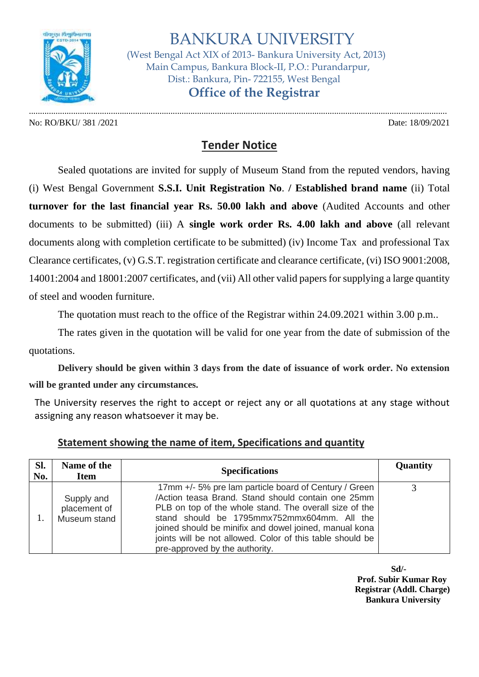

 BANKURA UNIVERSITY (West Bengal Act XIX of 2013- Bankura University Act, 2013) Main Campus, Bankura Block-II, P.O.: Purandarpur, Dist.: Bankura, Pin- 722155, West Bengal  **Office of the Registrar**

No: RO/BKU/ 381 /2021 Date: 18/09/2021

.............................................................................................................................................................................................

## **Tender Notice**

Sealed quotations are invited for supply of Museum Stand from the reputed vendors, having (i) West Bengal Government **S.S.I. Unit Registration No**. **/ Established brand name** (ii) Total **turnover for the last financial year Rs. 50.00 lakh and above** (Audited Accounts and other documents to be submitted) (iii) A **single work order Rs. 4.00 lakh and above** (all relevant documents along with completion certificate to be submitted) (iv) Income Tax and professional Tax Clearance certificates, (v) G.S.T. registration certificate and clearance certificate, (vi) ISO 9001:2008, 14001:2004 and 18001:2007 certificates, and (vii) All other valid papers for supplying a large quantity of steel and wooden furniture.

The quotation must reach to the office of the Registrar within 24.09.2021 within 3.00 p.m..

The rates given in the quotation will be valid for one year from the date of submission of the quotations.

**Delivery should be given within 3 days from the date of issuance of work order. No extension will be granted under any circumstances.**

The University reserves the right to accept or reject any or all quotations at any stage without assigning any reason whatsoever it may be.

| Sl.<br>No. | Name of the<br><b>Item</b>                 | <b>Specifications</b>                                                                                                                                                                                                                                                                                                                                                         | Quantity |
|------------|--------------------------------------------|-------------------------------------------------------------------------------------------------------------------------------------------------------------------------------------------------------------------------------------------------------------------------------------------------------------------------------------------------------------------------------|----------|
|            | Supply and<br>placement of<br>Museum stand | 17mm +/- 5% pre lam particle board of Century / Green<br>/Action teasa Brand. Stand should contain one 25mm<br>PLB on top of the whole stand. The overall size of the<br>stand should be 1795mmx752mmx604mm. All the<br>joined should be minifix and dowel joined, manual kona<br>joints will be not allowed. Color of this table should be<br>pre-approved by the authority. |          |

## **Statement showing the name of item, Specifications and quantity**

**Sd/- Prof. Subir Kumar Roy Registrar (Addl. Charge) Bankura University**